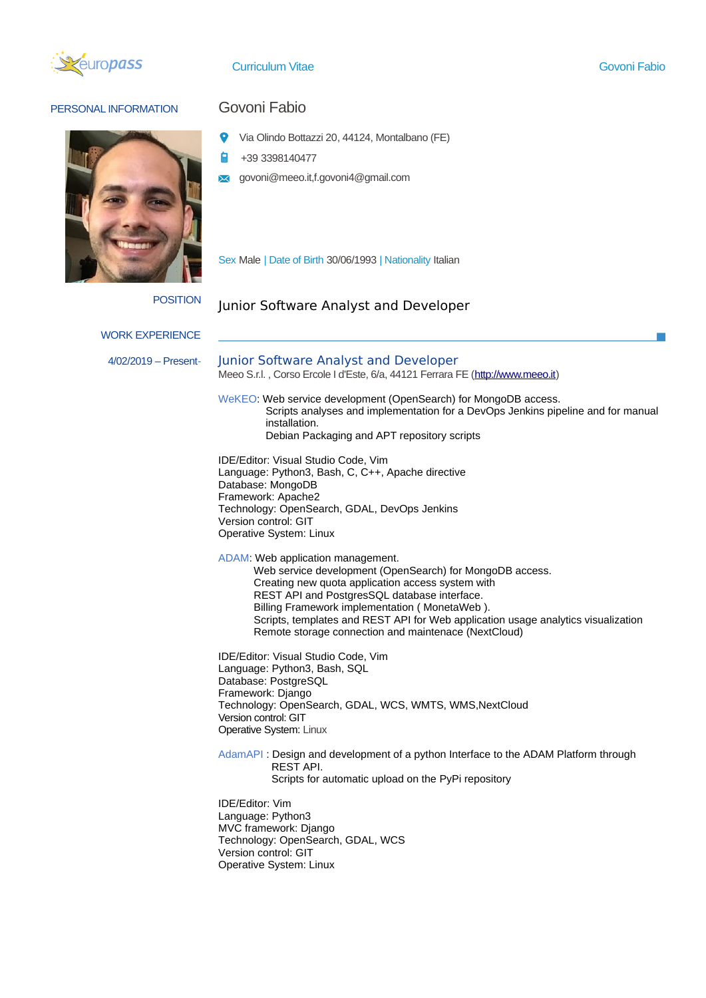

Curriculum Vitae Govoni Fabio

 $\sim$ 

### PERSONAL INFORMATION **GOVONI Fabio**



- $\bullet$ Via Olindo Bottazzi 20, 44124, Montalbano (FE)
- +39 3398140477 自
- **x** govoni@meeo.it,f.govoni4@gmail.com

Sex Male | Date of Birth 30/06/1993 | Nationality Italian

# POSITION Junior Software Analyst and Developer

| <b>WORK EXPERIENCE</b> |                                                                                                                                                                                                                                                                                                                                                                                                  |
|------------------------|--------------------------------------------------------------------------------------------------------------------------------------------------------------------------------------------------------------------------------------------------------------------------------------------------------------------------------------------------------------------------------------------------|
| 4/02/2019 - Present-   | Junior Software Analyst and Developer<br>Meeo S.r.l., Corso Ercole I d'Este, 6/a, 44121 Ferrara FE (http://www.meeo.it)                                                                                                                                                                                                                                                                          |
|                        | WeKEO: Web service development (OpenSearch) for MongoDB access.<br>Scripts analyses and implementation for a DevOps Jenkins pipeline and for manual<br>installation.<br>Debian Packaging and APT repository scripts                                                                                                                                                                              |
|                        | IDE/Editor: Visual Studio Code, Vim<br>Language: Python3, Bash, C, C++, Apache directive<br>Database: MongoDB<br>Framework: Apache2<br>Technology: OpenSearch, GDAL, DevOps Jenkins<br>Version control: GIT<br>Operative System: Linux                                                                                                                                                           |
|                        | ADAM: Web application management.<br>Web service development (OpenSearch) for MongoDB access.<br>Creating new quota application access system with<br>REST API and PostgresSQL database interface.<br>Billing Framework implementation (MonetaWeb).<br>Scripts, templates and REST API for Web application usage analytics visualization<br>Remote storage connection and maintenace (NextCloud) |
|                        | IDE/Editor: Visual Studio Code, Vim<br>Language: Python3, Bash, SQL<br>Database: PostgreSQL<br>Framework: Django<br>Technology: OpenSearch, GDAL, WCS, WMTS, WMS, NextCloud<br>Version control: GIT<br>Operative System: Linux                                                                                                                                                                   |
|                        | AdamAPI: Design and development of a python Interface to the ADAM Platform through<br>REST API.<br>Scripts for automatic upload on the PyPi repository                                                                                                                                                                                                                                           |
|                        | <b>IDE/Editor: Vim</b><br>Language: Python3<br>MVC framework: Django<br>Technology: OpenSearch, GDAL, WCS<br>Version control: GIT<br>Operative System: Linux                                                                                                                                                                                                                                     |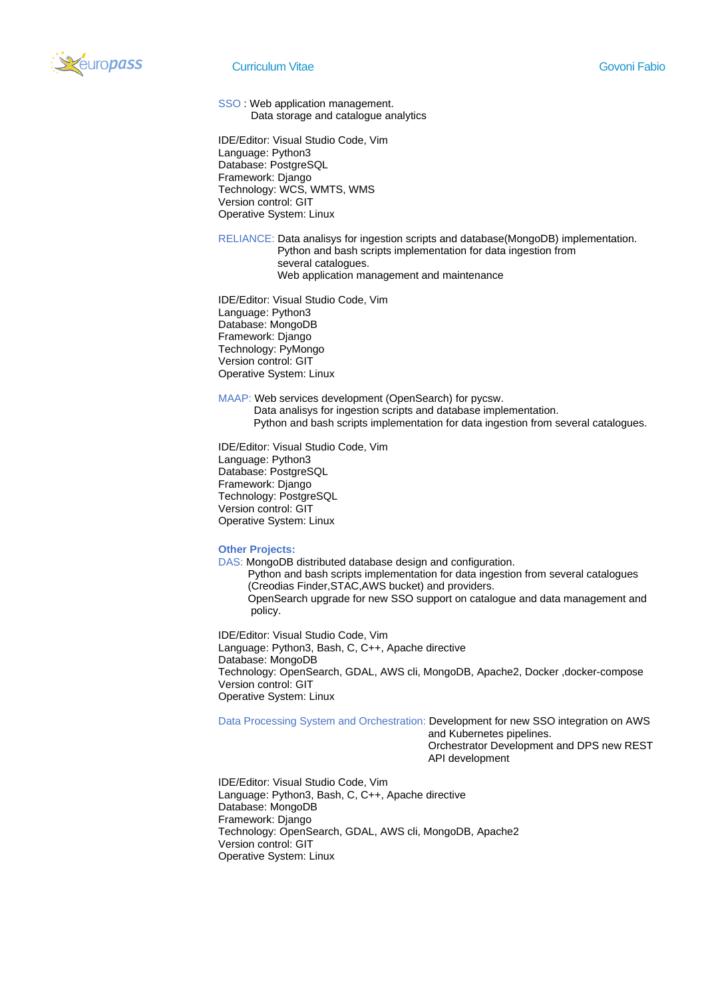

SSO : Web application management. Data storage and catalogue analytics

IDE/Editor: Visual Studio Code, Vim Language: Python3 Database: PostgreSQL Framework: Django Technology: WCS, WMTS, WMS Version control: GIT Operative System: Linux

RELIANCE: Data analisys for ingestion scripts and database(MongoDB) implementation. Python and bash scripts implementation for data ingestion from several catalogues. Web application management and maintenance

IDE/Editor: Visual Studio Code, Vim Language: Python3 Database: MongoDB Framework: Django Technology: PyMongo Version control: GIT Operative System: Linux

MAAP: Web services development (OpenSearch) for pycsw.

Data analisys for ingestion scripts and database implementation.

Python and bash scripts implementation for data ingestion from several catalogues.

IDE/Editor: Visual Studio Code, Vim Language: Python3 Database: PostgreSQL Framework: Django Technology: PostgreSQL Version control: GIT Operative System: Linux

#### **Other Projects:**

DAS: MongoDB distributed database design and configuration.

 Python and bash scripts implementation for data ingestion from several catalogues (Creodias Finder,STAC,AWS bucket) and providers. OpenSearch upgrade for new SSO support on catalogue and data management and policy.

IDE/Editor: Visual Studio Code, Vim Language: Python3, Bash, C, C++, Apache directive Database: MongoDB Technology: OpenSearch, GDAL, AWS cli, MongoDB, Apache2, Docker ,docker-compose Version control: GIT Operative System: Linux

Data Processing System and Orchestration: Development for new SSO integration on AWS

and Kubernetes pipelines.

 Orchestrator Development and DPS new REST API development

IDE/Editor: Visual Studio Code, Vim Language: Python3, Bash, C, C++, Apache directive Database: MongoDB Framework: Django Technology: OpenSearch, GDAL, AWS cli, MongoDB, Apache2 Version control: GIT Operative System: Linux